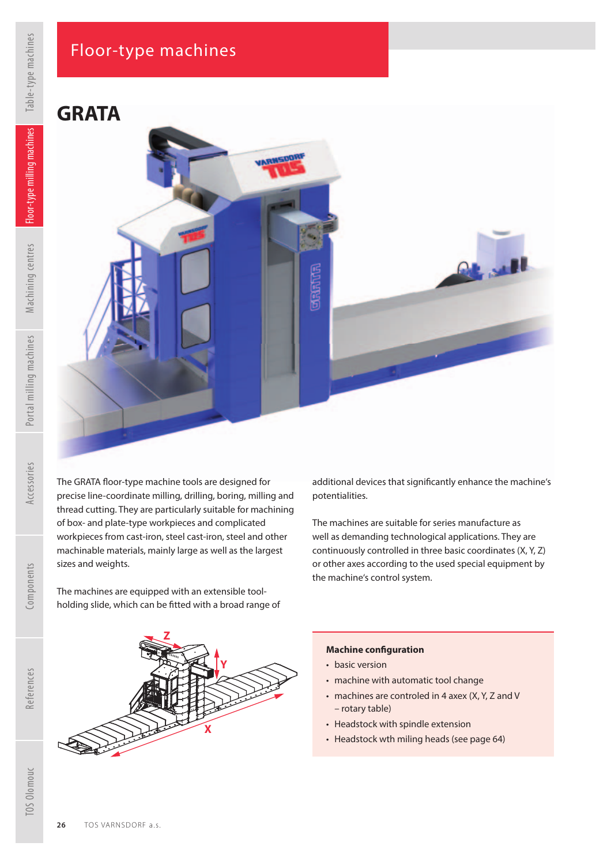## Floor-type machines

**GRATA**

sizes and weights.

TOS Olomouc



**Z**

The machines are equipped with an extensible toolholding slide, which can be fitted with a broad range of

The GRATA floor-type machine tools are designed for precise line-coordinate milling, drilling, boring, milling and thread cutting. They are particularly suitable for machining of box- and plate-type workpieces and complicated workpieces from cast-iron, steel cast-iron, steel and other machinable materials, mainly large as well as the largest

additional devices that significantly enhance the machine's potentialities.

The machines are suitable for series manufacture as well as demanding technological applications. They are continuously controlled in three basic coordinates (X, Y, Z) or other axes according to the used special equipment by the machine's control system.

## **Machine conf guration**

• basic version

)<br>百

- machine with automatic tool change
- machines are controled in 4 axex (X, Y, Z and V – rotary table)
- Headstock with spindle extension
- Headstock wth miling heads (see page 64)